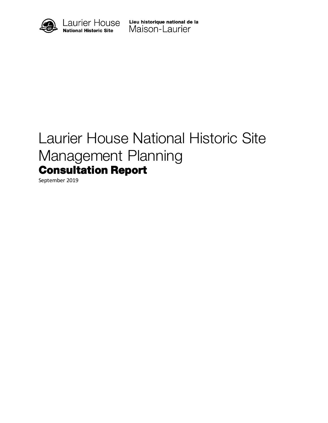

# Laurier House National Historic Site Management Planning Consultation Report

September 2019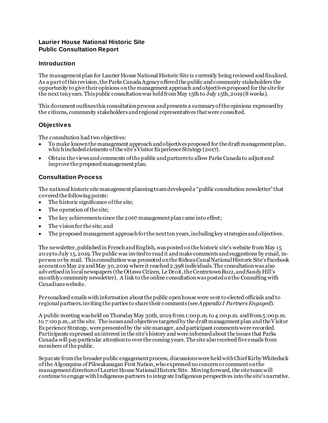# **Laurier House National Historic Site Public Consultation Report**

# **Introduction**

The management plan for Laurier House National Historic Site is currently beingreviewed and finalized. As a part of this revision, the Parks Canada Agency offered the public and community stakeholders the opportunity to give their opinions on the management approach and objectives proposed for the site for the next ten y ears. This public consultation was held from May 15th to July 15th, 2019 (8 weeks).

This document outlines this consultation process and presents a summary of the opinions expressed by the citizens, community stakeholders and regional representatives that were consulted.

# **Objectives**

The consultation had two objectives:

- To make known the management approach and objectives proposed for the draft management plan, which included elements of the site's Visitor Experience Strategy (2017).
- Obtain the views and comments of the public and partners to allow Parks Canada to adjust and improve the proposed management plan.

# **Consultation Process**

The national historic site management planning team developed a "public consultation newsletter" that covered the following points:

- The historic significance of the site;
- The operation of the site;
- The key achievements since the 2007 management plan came into effect;
- The vision for the site; and
- The proposed management approach for the next ten years, including key strategies and objectives .

The newsletter, published in French and English, was posted on the historic site's website from May 15 2019to July 15, 2019.The public was invited to read it and make comments and suggestions by email, inperson or by mail. This consultation was promoted on the Rideau Canal National Historic Site's Facebook account on May 29 and May 30, 2019 where it reached 2,398 individuals. The consultation was also advertised in local newspapers (the Ottawa Citizen, Le Droit, the Centretown Buzz,and Sandy Hill's monthly community newsletter). A link to the online consultation was posted on the Consulting with Canadianswebsite.

Personalized emails with information about the public open house were sent to elected officials and to regional partners, inviting the parties to share their comments (see *Appendix I Partners Engaged*).

A public meeting was held on Thursday May 30th, 2019 from 1:00 p.m.to 4:00 p.m. and from 5:00 p.m. to 7:00 p.m., at the site. The issues and objectives targeted by the draft management plan and the Visitor Experience Strategy, were presented by the site manager, and participant comments were recorded. Participants expressed an interest in the site's history and were informed about the issues that Parks Canada will pay particular attention to over the coming years. The site also received five emails from members of the public.

Separate from the broader public engagement process, discussions were held with Chief Kirby Whiteduck of the Algonquins of Pikwakanagan First Nation, who expressed no concern or comment on the management direction of Laurier House National Historic Site. Moving forward, the site team will continue to engage with Indigenous partners to integrate Indigenous perspectives into the site's narrative.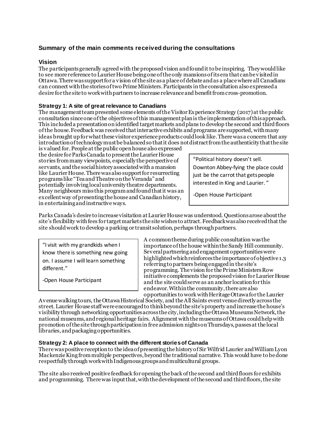# **Summary of the main comments received during the consultations**

## **Vision**

The participants generally agreed with the proposed vision and found it to be inspiring. They would like to see more reference to Laurier House being one of the only mansions of its era that can be visited in Ottawa. There was support for a vision of the site as a place of debate and as a place where all Canadians can connect with the stories of two Prime Ministers. Participants in the consultation also expressed a desire for the site to work with partners to increase relevance and benefit from cross-promotion.

## **Strategy 1: A site of great relevance to Canadians**

The management team presented some elements of the Visitor Experience Strategy (2017) at the public consultation since one of the objectives of this management planis the implementation of this approach. This included a presentation on identified target markets and plans to develop the second and thirdfloors of the house.Feedback was received thatinteractive exhibits and programs are supported, with many ideas brought up for what these visitor experience products could look like. There wasa concern that any introduction of technology must be balanced so that it does not distract from the authenticity that the site

is valued for.People at the public open house also expressed the desire for Parks Canada to present the Laurier House stories from many viewpoints, especially the perspective of servants, and the social history associated with a mansion like Laurier House. There was also support for resurrecting programs like "Tea and Theatre on the Veranda" and potentially involving local university theatre departments. Many neighbours miss this program and found that it was an excellent way of presenting the house and Canadian history, in entertaining and instructive ways.

"Political history doesn't sell. Downton Abbey-fying the place could just be the carrot that gets people interested in King and Laurier. "

-Open House Participant

Parks Canada's desire to increase visitation at Laurier House was understood. Questions arose about the site's flexibility with fees for target markets the site wishes to attract. Feedback was also received that the site shouldwork to develop a parking or transit solution, perhaps through partners.

"I visit with my grandkids when I know there is something new going on. I assume I will learn something different."

-Open House Participant

A common theme during public consultation was the importance of the house within the Sandy Hill community. Several partneringand engagementopportunities were highlighted which reinforces the importance of objective 1.3 referring to partners being engaged in the site's programming. The vision for the Prime Ministers Row initiative complements the proposed vision for Laurier House and the site could serve as an anchor location for this endeavor. Within the community, there are also opportunities to work with Heritage Ottawa for the Laurier

Avenue walking tours, the Ottawa Historical Society, and the All Saints eventvenue directly across the street. Laurier House staff were encouraged to think beyond the site'sproperty andincrease the house's visibility through networking opportunities across the city, including the Ottawa Museums Network, the national museums, and regional heritage fairs. Alignment with the museums of Ottawa could help with promotion of the site through participation in free admission nights on Thursdays, passes at the local libraries, and packaging opportunities.

## **Strategy 2: A place to connect with the different stories of Canada**

There was positive reception to the idea of presenting the history of Sir Wilfrid Laurier and William Lyon Mackenzie King from multiple perspectives, beyond the traditional narrative. This would have to be done respectfully through work with Indigenous groups and multicultural groups.

The site also received positive feedback foropeningthe back of the second and third floors for exhibits and programming. There was inputthat,with the development of the second and third floors, the site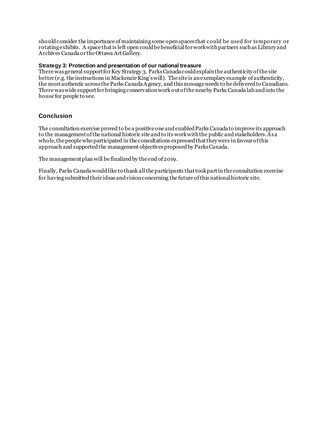should consider the importance of maintaining some open spacesthat could be used for temporary or rotating exhibits. A space that is left open could be beneficial for work with partners such as Library and Archives Canada or the Ottawa Art Gallery.

#### **Strategy 3: Protection and presentation of our national treasure**

There was general support for Key Strategy 3. Parks Canada could explain the authenticity of the site better (e.g. the instructions in Mackenzie King's will). The site is an exemplary example of authenticity, the most authentic across the Parks Canada Agency, and this message needs to be delivered to Canadians. There was wide support for bringing conservation work out of the nearby Parks Canadalab and into the house for people to see.

# **Conclusion**

The consultation exercise proved to be a positive one and enabled Parks Canada to improve its approach to the management of the national historic site and to its work with the public andstakeholders. As a whole, the people who participated in the consultations expressed that they were in favour of this approach and supported the management objectives proposed by Parks Canada.

The management plan will be finalized by the end of 2019.

Finally, Parks Canada would like to thank all the participants that took part in the consultation exercise for having submitted their ideas and vision concerning the future of this national historic site.